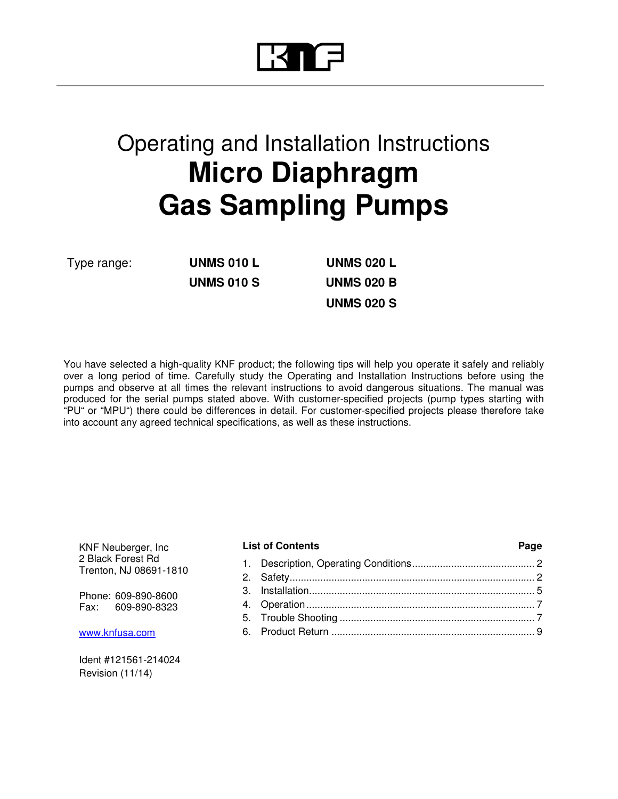# Operating and Installation Instructions **Micro Diaphragm Gas Sampling Pumps**

Type range: **UNMS 010 L UNMS 020 L UNMS 010 S UNMS 020 B**

**UNMS 020 S**

You have selected a high-quality KNF product; the following tips will help you operate it safely and reliably over a long period of time. Carefully study the Operating and Installation Instructions before using the pumps and observe at all times the relevant instructions to avoid dangerous situations. The manual was produced for the serial pumps stated above. With customer-specified projects (pump types starting with "PU" or "MPU") there could be differences in detail. For customer-specified projects please therefore take into account any agreed technical specifications, as well as these instructions.

KNF Neuberger, Inc 2 Black Forest Rd Trenton, NJ 08691-1810

Phone: 609-890-8600 Fax: 609-890-8323

www.knfusa.com

Ident #121561-214024 Revision (11/14)

#### List of Contents **Page**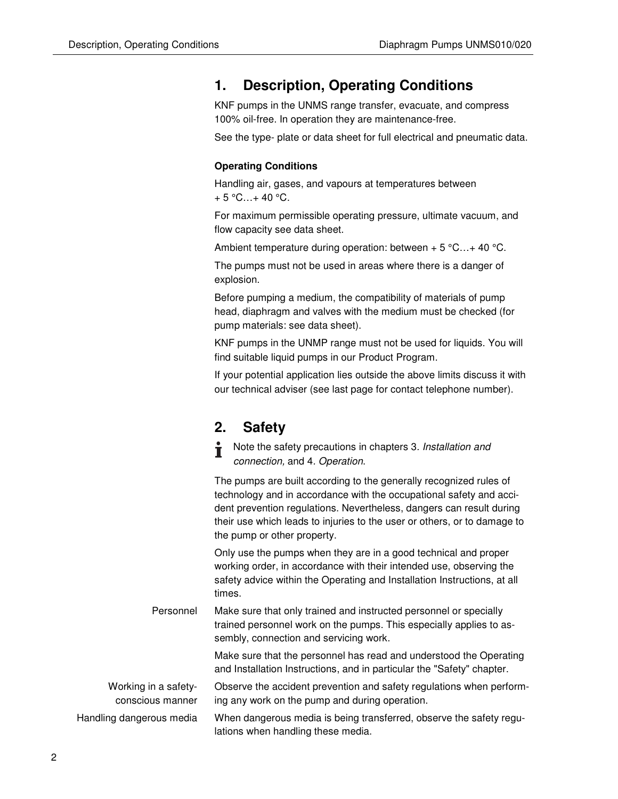### **1. Description, Operating Conditions**

KNF pumps in the UNMS range transfer, evacuate, and compress 100% oil-free. In operation they are maintenance-free.

See the type- plate or data sheet for full electrical and pneumatic data.

### **Operating Conditions**

Handling air, gases, and vapours at temperatures between  $+ 5 °C...+ 40 °C.$ 

For maximum permissible operating pressure, ultimate vacuum, and flow capacity see data sheet.

Ambient temperature during operation: between  $+5$  °C... + 40 °C.

The pumps must not be used in areas where there is a danger of explosion.

Before pumping a medium, the compatibility of materials of pump head, diaphragm and valves with the medium must be checked (for pump materials: see data sheet).

KNF pumps in the UNMP range must not be used for liquids. You will find suitable liquid pumps in our Product Program.

If your potential application lies outside the above limits discuss it with our technical adviser (see last page for contact telephone number).

### **2. Safety**

| ÷ | Note the safety precautions in chapters 3. Installation and |
|---|-------------------------------------------------------------|
|   | connection, and 4. Operation.                               |

The pumps are built according to the generally recognized rules of technology and in accordance with the occupational safety and accident prevention regulations. Nevertheless, dangers can result during their use which leads to injuries to the user or others, or to damage to the pump or other property.

Only use the pumps when they are in a good technical and proper working order, in accordance with their intended use, observing the safety advice within the Operating and Installation Instructions, at all times.

Make sure that only trained and instructed personnel or specially trained personnel work on the pumps. This especially applies to assembly, connection and servicing work. Personnel

> Make sure that the personnel has read and understood the Operating and Installation Instructions, and in particular the "Safety" chapter.

Observe the accident prevention and safety regulations when performing any work on the pump and during operation. Working in a safetyconscious manner

When dangerous media is being transferred, observe the safety regulations when handling these media. Handling dangerous media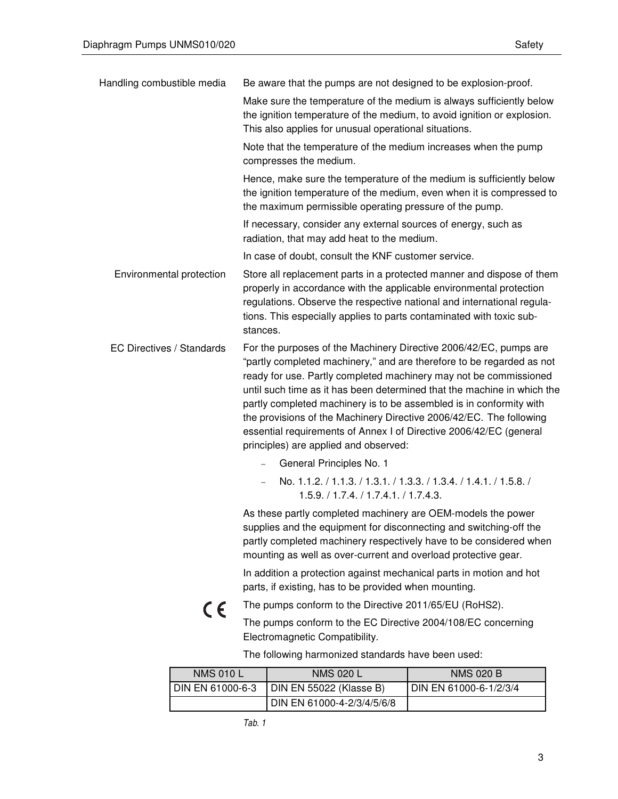| Handling combustible media       | Be aware that the pumps are not designed to be explosion-proof.                                                                                                                                                                                                                                                                                                                                                                                                                                                                                         |  |  |
|----------------------------------|---------------------------------------------------------------------------------------------------------------------------------------------------------------------------------------------------------------------------------------------------------------------------------------------------------------------------------------------------------------------------------------------------------------------------------------------------------------------------------------------------------------------------------------------------------|--|--|
|                                  | Make sure the temperature of the medium is always sufficiently below<br>the ignition temperature of the medium, to avoid ignition or explosion.<br>This also applies for unusual operational situations.                                                                                                                                                                                                                                                                                                                                                |  |  |
|                                  | Note that the temperature of the medium increases when the pump<br>compresses the medium.                                                                                                                                                                                                                                                                                                                                                                                                                                                               |  |  |
|                                  | Hence, make sure the temperature of the medium is sufficiently below<br>the ignition temperature of the medium, even when it is compressed to<br>the maximum permissible operating pressure of the pump.                                                                                                                                                                                                                                                                                                                                                |  |  |
|                                  | If necessary, consider any external sources of energy, such as<br>radiation, that may add heat to the medium.                                                                                                                                                                                                                                                                                                                                                                                                                                           |  |  |
|                                  | In case of doubt, consult the KNF customer service.                                                                                                                                                                                                                                                                                                                                                                                                                                                                                                     |  |  |
| Environmental protection         | Store all replacement parts in a protected manner and dispose of them<br>properly in accordance with the applicable environmental protection<br>regulations. Observe the respective national and international regula-<br>tions. This especially applies to parts contaminated with toxic sub-<br>stances.                                                                                                                                                                                                                                              |  |  |
| <b>EC Directives / Standards</b> | For the purposes of the Machinery Directive 2006/42/EC, pumps are<br>"partly completed machinery," and are therefore to be regarded as not<br>ready for use. Partly completed machinery may not be commissioned<br>until such time as it has been determined that the machine in which the<br>partly completed machinery is to be assembled is in conformity with<br>the provisions of the Machinery Directive 2006/42/EC. The following<br>essential requirements of Annex I of Directive 2006/42/EC (general<br>principles) are applied and observed: |  |  |
|                                  | General Principles No. 1                                                                                                                                                                                                                                                                                                                                                                                                                                                                                                                                |  |  |
|                                  | No. 1.1.2. / 1.1.3. / 1.3.1. / 1.3.3. / 1.3.4. / 1.4.1. / 1.5.8. /<br>1.5.9. / 1.7.4. / 1.7.4.1. / 1.7.4.3.                                                                                                                                                                                                                                                                                                                                                                                                                                             |  |  |
|                                  | As these partly completed machinery are OEM-models the power<br>supplies and the equipment for disconnecting and switching-off the<br>partly completed machinery respectively have to be considered when<br>mounting as well as over-current and overload protective gear.                                                                                                                                                                                                                                                                              |  |  |
|                                  | In addition a protection against mechanical parts in motion and hot<br>parts, if existing, has to be provided when mounting.                                                                                                                                                                                                                                                                                                                                                                                                                            |  |  |
| CE                               | The pumps conform to the Directive 2011/65/EU (RoHS2).                                                                                                                                                                                                                                                                                                                                                                                                                                                                                                  |  |  |
|                                  | The pumps conform to the EC Directive 2004/108/EC concerning<br>Electromagnetic Compatibility.                                                                                                                                                                                                                                                                                                                                                                                                                                                          |  |  |
|                                  | The following harmonized standards have been used:                                                                                                                                                                                                                                                                                                                                                                                                                                                                                                      |  |  |
|                                  |                                                                                                                                                                                                                                                                                                                                                                                                                                                                                                                                                         |  |  |

| <b>NMS 010 L</b> | <b>NMS 020 L</b>           | <b>NMS 020 B</b>       |
|------------------|----------------------------|------------------------|
| DIN EN 61000-6-3 | DIN EN 55022 (Klasse B)    | DIN EN 61000-6-1/2/3/4 |
|                  | DIN EN 61000-4-2/3/4/5/6/8 |                        |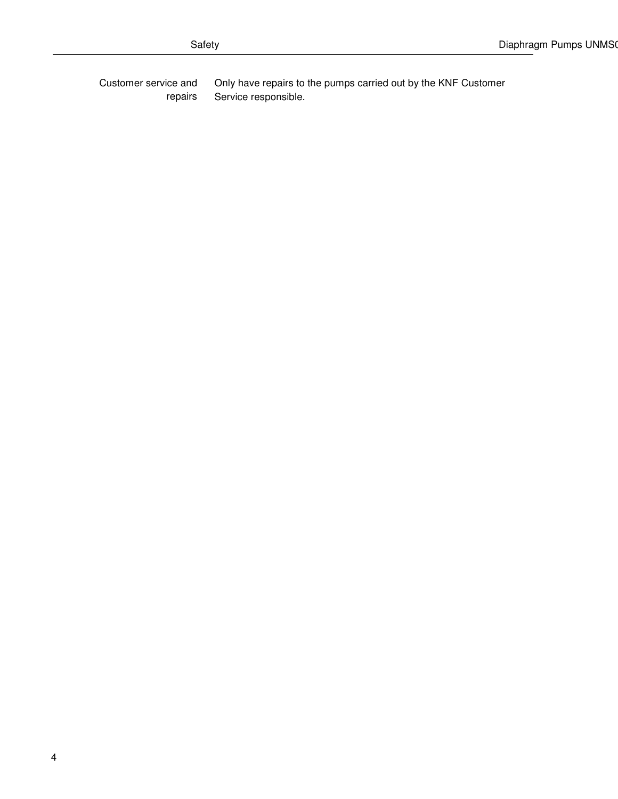Only have repairs to the pumps carried out by the KNF Customer Service responsible. Customer service and repairs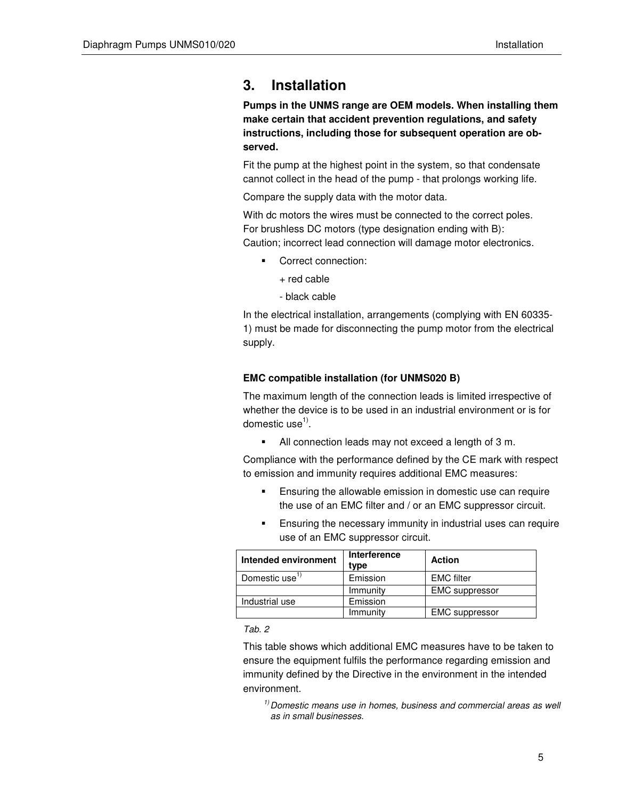### **3. Installation**

**Pumps in the UNMS range are OEM models. When installing them make certain that accident prevention regulations, and safety instructions, including those for subsequent operation are observed.** 

Fit the pump at the highest point in the system, so that condensate cannot collect in the head of the pump - that prolongs working life.

Compare the supply data with the motor data.

With dc motors the wires must be connected to the correct poles. For brushless DC motors (type designation ending with B): Caution; incorrect lead connection will damage motor electronics.

- Correct connection:
	- + red cable
	- black cable

In the electrical installation, arrangements (complying with EN 60335- 1) must be made for disconnecting the pump motor from the electrical supply.

### **EMC compatible installation (for UNMS020 B)**

The maximum length of the connection leads is limited irrespective of whether the device is to be used in an industrial environment or is for domestic use<sup>1)</sup>.

All connection leads may not exceed a length of 3 m.

Compliance with the performance defined by the CE mark with respect to emission and immunity requires additional EMC measures:

- **Ensuring the allowable emission in domestic use can require** the use of an EMC filter and / or an EMC suppressor circuit.
- Ensuring the necessary immunity in industrial uses can require use of an EMC suppressor circuit.

| Intended environment       | Interference<br>type | <b>Action</b>         |
|----------------------------|----------------------|-----------------------|
| Domestic use <sup>17</sup> | Emission             | <b>EMC</b> filter     |
|                            | Immunity             | <b>EMC</b> suppressor |
| Industrial use             | Emission             |                       |
|                            | Immunity             | <b>EMC</b> suppressor |

Tab. 2

This table shows which additional EMC measures have to be taken to ensure the equipment fulfils the performance regarding emission and immunity defined by the Directive in the environment in the intended environment.

 $1)$  Domestic means use in homes, business and commercial areas as well as in small businesses.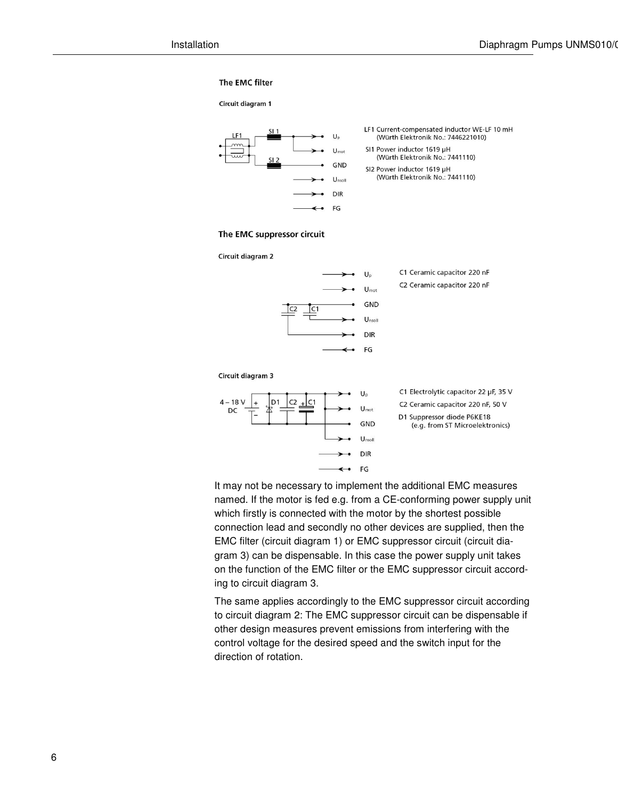#### The EMC filter



It may not be necessary to implement the additional EMC measures named. If the motor is fed e.g. from a CE-conforming power supply unit which firstly is connected with the motor by the shortest possible connection lead and secondly no other devices are supplied, then the EMC filter (circuit diagram 1) or EMC suppressor circuit (circuit diagram 3) can be dispensable. In this case the power supply unit takes on the function of the EMC filter or the EMC suppressor circuit according to circuit diagram 3.

The same applies accordingly to the EMC suppressor circuit according to circuit diagram 2: The EMC suppressor circuit can be dispensable if other design measures prevent emissions from interfering with the control voltage for the desired speed and the switch input for the direction of rotation.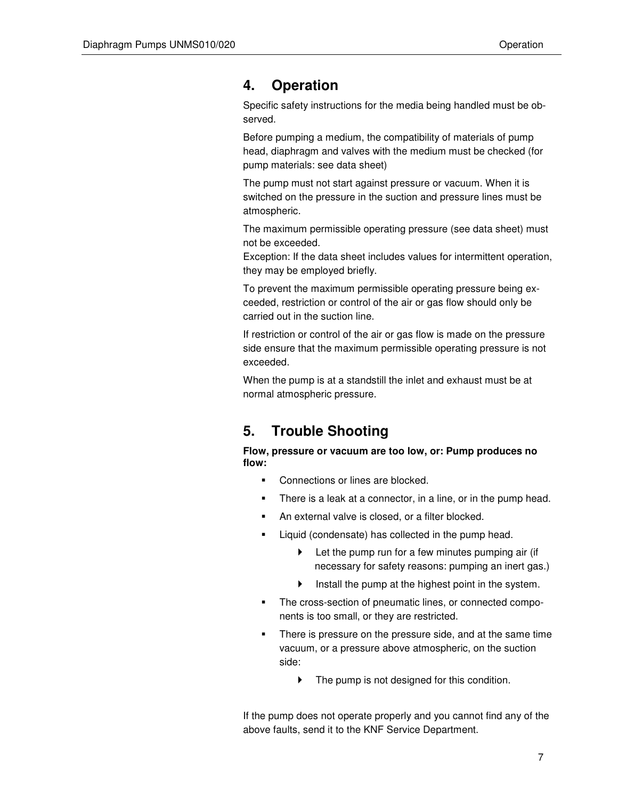### **4. Operation**

Specific safety instructions for the media being handled must be observed.

Before pumping a medium, the compatibility of materials of pump head, diaphragm and valves with the medium must be checked (for pump materials: see data sheet)

The pump must not start against pressure or vacuum. When it is switched on the pressure in the suction and pressure lines must be atmospheric.

The maximum permissible operating pressure (see data sheet) must not be exceeded.

Exception: If the data sheet includes values for intermittent operation, they may be employed briefly.

To prevent the maximum permissible operating pressure being exceeded, restriction or control of the air or gas flow should only be carried out in the suction line.

If restriction or control of the air or gas flow is made on the pressure side ensure that the maximum permissible operating pressure is not exceeded.

When the pump is at a standstill the inlet and exhaust must be at normal atmospheric pressure.

### **5. Trouble Shooting**

**Flow, pressure or vacuum are too low, or: Pump produces no flow:** 

- Connections or lines are blocked.
- **There is a leak at a connector, in a line, or in the pump head.**
- **An external valve is closed, or a filter blocked.**
- Liquid (condensate) has collected in the pump head.
	- $\blacktriangleright$  Let the pump run for a few minutes pumping air (if necessary for safety reasons: pumping an inert gas.)
	- $\blacktriangleright$  Install the pump at the highest point in the system.
- **The cross-section of pneumatic lines, or connected compo**nents is too small, or they are restricted.
- There is pressure on the pressure side, and at the same time vacuum, or a pressure above atmospheric, on the suction side:
	- $\blacktriangleright$  The pump is not designed for this condition.

If the pump does not operate properly and you cannot find any of the above faults, send it to the KNF Service Department.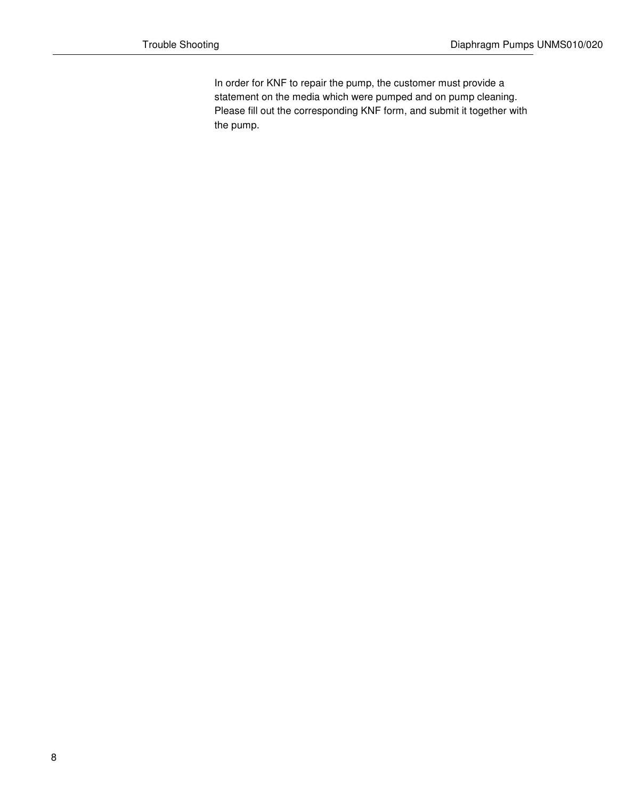In order for KNF to repair the pump, the customer must provide a statement on the media which were pumped and on pump cleaning. Please fill out the corresponding KNF form, and submit it together with the pump.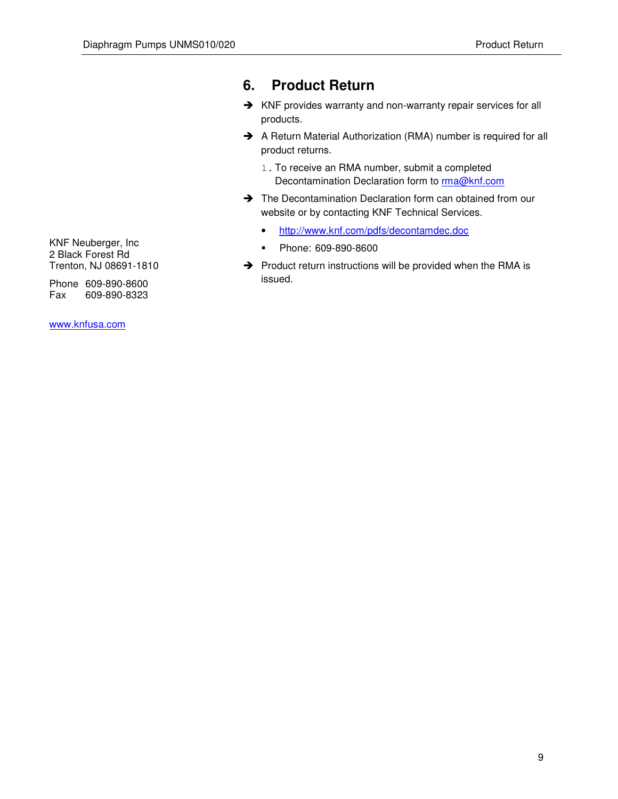### **6. Product Return**

- → KNF provides warranty and non-warranty repair services for all products.
- A Return Material Authorization (RMA) number is required for all product returns.
	- 1. To receive an RMA number, submit a completed Decontamination Declaration form to **rma@knf.com**
- → The Decontamination Declaration form can obtained from our website or by contacting KNF Technical Services.
	- http://www.knf.com/pdfs/decontamdec.doc
	- Phone: 609-890-8600
- → Product return instructions will be provided when the RMA is issued.

KNF Neuberger, Inc 2 Black Forest Rd Trenton, NJ 08691-1810

Phone 609-890-8600 Fax 609-890-8323

www.knfusa.com